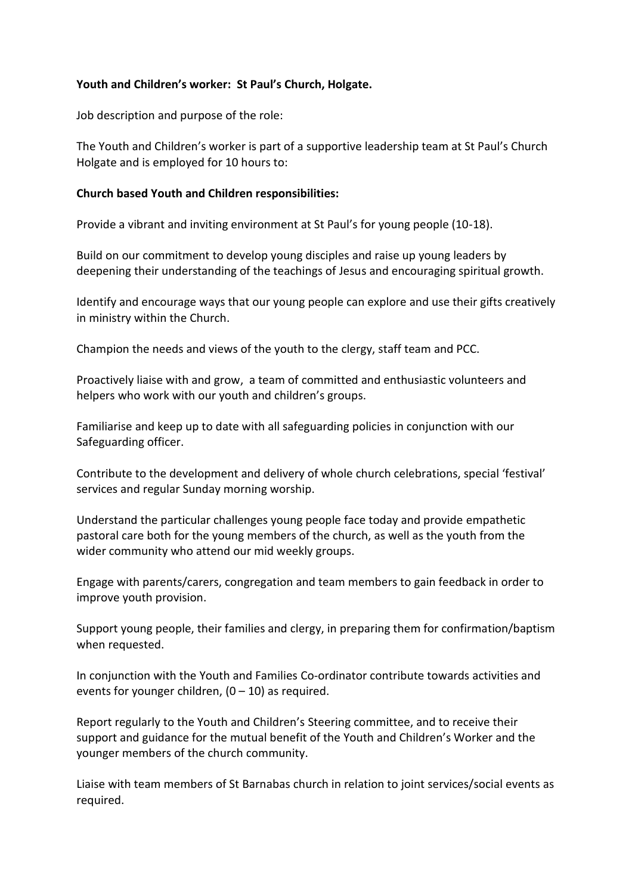# **Youth and Children's worker: St Paul's Church, Holgate.**

Job description and purpose of the role:

The Youth and Children's worker is part of a supportive leadership team at St Paul's Church Holgate and is employed for 10 hours to:

### **Church based Youth and Children responsibilities:**

Provide a vibrant and inviting environment at St Paul's for young people (10-18).

Build on our commitment to develop young disciples and raise up young leaders by deepening their understanding of the teachings of Jesus and encouraging spiritual growth.

Identify and encourage ways that our young people can explore and use their gifts creatively in ministry within the Church.

Champion the needs and views of the youth to the clergy, staff team and PCC.

Proactively liaise with and grow, a team of committed and enthusiastic volunteers and helpers who work with our youth and children's groups.

Familiarise and keep up to date with all safeguarding policies in conjunction with our Safeguarding officer.

Contribute to the development and delivery of whole church celebrations, special 'festival' services and regular Sunday morning worship.

Understand the particular challenges young people face today and provide empathetic pastoral care both for the young members of the church, as well as the youth from the wider community who attend our mid weekly groups.

Engage with parents/carers, congregation and team members to gain feedback in order to improve youth provision.

Support young people, their families and clergy, in preparing them for confirmation/baptism when requested.

In conjunction with the Youth and Families Co-ordinator contribute towards activities and events for younger children,  $(0 - 10)$  as required.

Report regularly to the Youth and Children's Steering committee, and to receive their support and guidance for the mutual benefit of the Youth and Children's Worker and the younger members of the church community.

Liaise with team members of St Barnabas church in relation to joint services/social events as required.